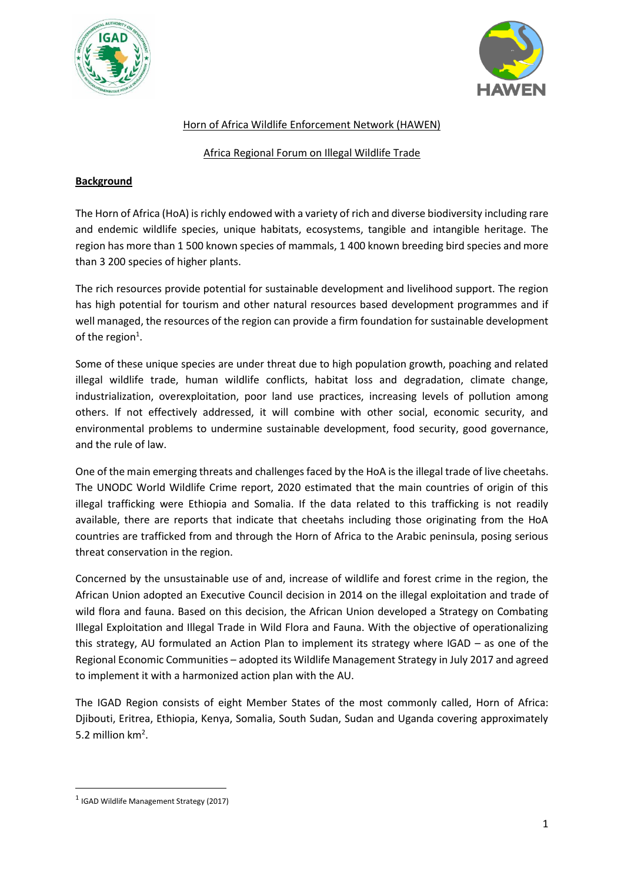



## Horn of Africa Wildlife Enforcement Network (HAWEN)

### Africa Regional Forum on Illegal Wildlife Trade

## **Background**

The Horn of Africa (HoA) is richly endowed with a variety of rich and diverse biodiversity including rare and endemic wildlife species, unique habitats, ecosystems, tangible and intangible heritage. The region has more than 1 500 known species of mammals, 1 400 known breeding bird species and more than 3 200 species of higher plants.

The rich resources provide potential for sustainable development and livelihood support. The region has high potential for tourism and other natural resources based development programmes and if well managed, the resources of the region can provide a firm foundation for sustainable development of the region<sup>1</sup>.

Some of these unique species are under threat due to high population growth, poaching and related illegal wildlife trade, human wildlife conflicts, habitat loss and degradation, climate change, industrialization, overexploitation, poor land use practices, increasing levels of pollution among others. If not effectively addressed, it will combine with other social, economic security, and environmental problems to undermine sustainable development, food security, good governance, and the rule of law.

One of the main emerging threats and challenges faced by the HoA is the illegal trade of live cheetahs. The UNODC World Wildlife Crime report, 2020 estimated that the main countries of origin of this illegal trafficking were Ethiopia and Somalia. If the data related to this trafficking is not readily available, there are reports that indicate that cheetahs including those originating from the HoA countries are trafficked from and through the Horn of Africa to the Arabic peninsula, posing serious threat conservation in the region.

Concerned by the unsustainable use of and, increase of wildlife and forest crime in the region, the African Union adopted an Executive Council decision in 2014 on the illegal exploitation and trade of wild flora and fauna. Based on this decision, the African Union developed a Strategy on Combating Illegal Exploitation and Illegal Trade in Wild Flora and Fauna. With the objective of operationalizing this strategy, AU formulated an Action Plan to implement its strategy where IGAD – as one of the Regional Economic Communities – adopted its Wildlife Management Strategy in July 2017 and agreed to implement it with a harmonized action plan with the AU.

The IGAD Region consists of eight Member States of the most commonly called, Horn of Africa: Djibouti, Eritrea, Ethiopia, Kenya, Somalia, South Sudan, Sudan and Uganda covering approximately 5.2 million  $km<sup>2</sup>$ .

<sup>&</sup>lt;sup>1</sup> IGAD Wildlife Management Strategy (2017)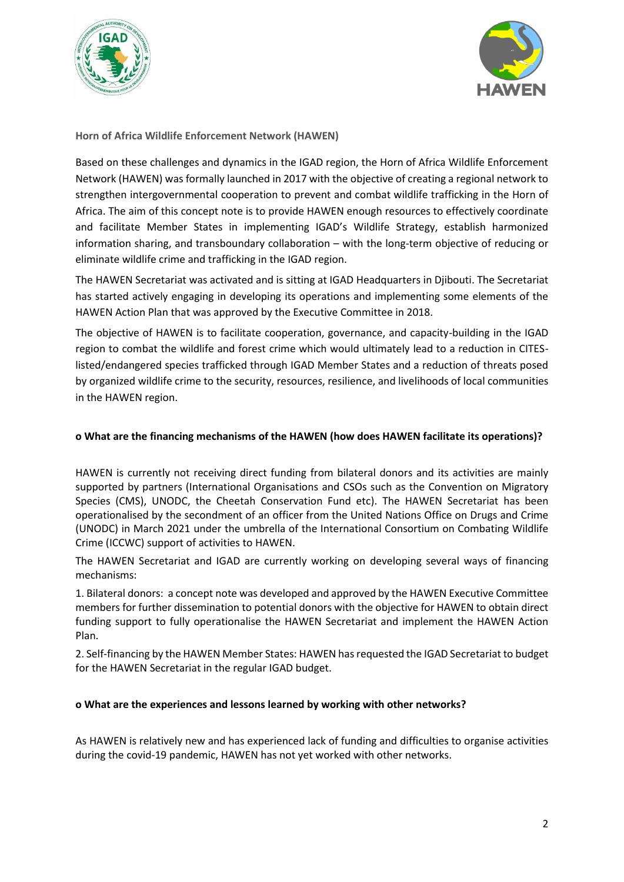



**Horn of Africa Wildlife Enforcement Network (HAWEN)**

Based on these challenges and dynamics in the IGAD region, the Horn of Africa Wildlife Enforcement Network (HAWEN) was formally launched in 2017 with the objective of creating a regional network to strengthen intergovernmental cooperation to prevent and combat wildlife trafficking in the Horn of Africa. The aim of this concept note is to provide HAWEN enough resources to effectively coordinate and facilitate Member States in implementing IGAD's Wildlife Strategy, establish harmonized information sharing, and transboundary collaboration – with the long-term objective of reducing or eliminate wildlife crime and trafficking in the IGAD region.

The HAWEN Secretariat was activated and is sitting at IGAD Headquarters in Djibouti. The Secretariat has started actively engaging in developing its operations and implementing some elements of the HAWEN Action Plan that was approved by the Executive Committee in 2018.

The objective of HAWEN is to facilitate cooperation, governance, and capacity-building in the IGAD region to combat the wildlife and forest crime which would ultimately lead to a reduction in CITESlisted/endangered species trafficked through IGAD Member States and a reduction of threats posed by organized wildlife crime to the security, resources, resilience, and livelihoods of local communities in the HAWEN region.

### **o What are the financing mechanisms of the HAWEN (how does HAWEN facilitate its operations)?**

HAWEN is currently not receiving direct funding from bilateral donors and its activities are mainly supported by partners (International Organisations and CSOs such as the Convention on Migratory Species (CMS), UNODC, the Cheetah Conservation Fund etc). The HAWEN Secretariat has been operationalised by the secondment of an officer from the United Nations Office on Drugs and Crime (UNODC) in March 2021 under the umbrella of the International Consortium on Combating Wildlife Crime (ICCWC) support of activities to HAWEN.

The HAWEN Secretariat and IGAD are currently working on developing several ways of financing mechanisms:

1. Bilateral donors: a concept note was developed and approved by the HAWEN Executive Committee members for further dissemination to potential donors with the objective for HAWEN to obtain direct funding support to fully operationalise the HAWEN Secretariat and implement the HAWEN Action Plan.

2. Self-financing by the HAWEN Member States: HAWEN has requested the IGAD Secretariat to budget for the HAWEN Secretariat in the regular IGAD budget.

#### **o What are the experiences and lessons learned by working with other networks?**

As HAWEN is relatively new and has experienced lack of funding and difficulties to organise activities during the covid-19 pandemic, HAWEN has not yet worked with other networks.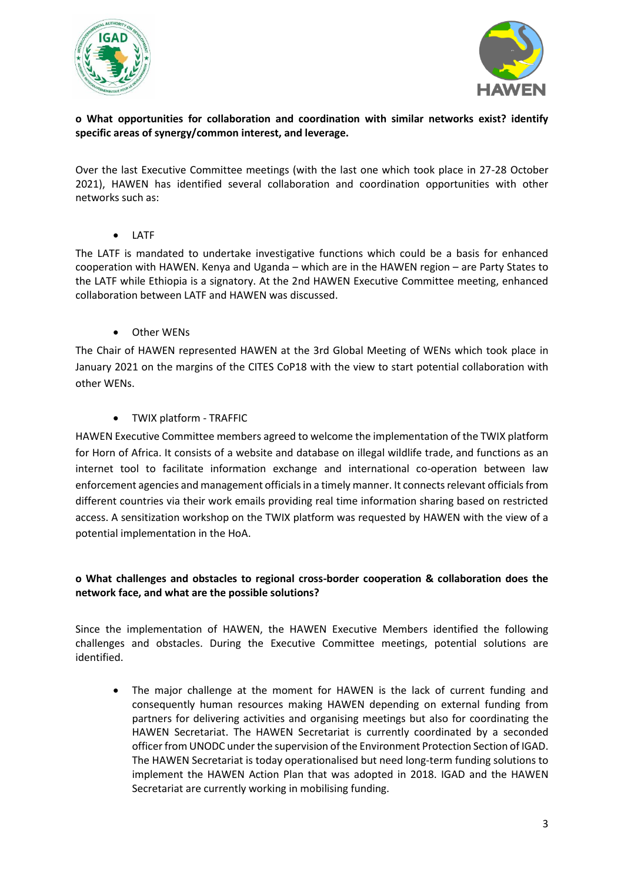



# **o What opportunities for collaboration and coordination with similar networks exist? identify specific areas of synergy/common interest, and leverage.**

Over the last Executive Committee meetings (with the last one which took place in 27-28 October 2021), HAWEN has identified several collaboration and coordination opportunities with other networks such as:

**LATF** 

The LATF is mandated to undertake investigative functions which could be a basis for enhanced cooperation with HAWEN. Kenya and Uganda – which are in the HAWEN region – are Party States to the LATF while Ethiopia is a signatory. At the 2nd HAWEN Executive Committee meeting, enhanced collaboration between LATF and HAWEN was discussed.

• Other WENs

The Chair of HAWEN represented HAWEN at the 3rd Global Meeting of WENs which took place in January 2021 on the margins of the CITES CoP18 with the view to start potential collaboration with other WENs.

• TWIX platform - TRAFFIC

HAWEN Executive Committee members agreed to welcome the implementation of the TWIX platform for Horn of Africa. It consists of a website and database on illegal wildlife trade, and functions as an internet tool to facilitate information exchange and international co-operation between law enforcement agencies and management officials in a timely manner. It connects relevant officials from different countries via their work emails providing real time information sharing based on restricted access. A sensitization workshop on the TWIX platform was requested by HAWEN with the view of a potential implementation in the HoA.

# **o What challenges and obstacles to regional cross-border cooperation & collaboration does the network face, and what are the possible solutions?**

Since the implementation of HAWEN, the HAWEN Executive Members identified the following challenges and obstacles. During the Executive Committee meetings, potential solutions are identified.

The major challenge at the moment for HAWEN is the lack of current funding and consequently human resources making HAWEN depending on external funding from partners for delivering activities and organising meetings but also for coordinating the HAWEN Secretariat. The HAWEN Secretariat is currently coordinated by a seconded officer from UNODC under the supervision of the Environment Protection Section of IGAD. The HAWEN Secretariat is today operationalised but need long-term funding solutions to implement the HAWEN Action Plan that was adopted in 2018. IGAD and the HAWEN Secretariat are currently working in mobilising funding.